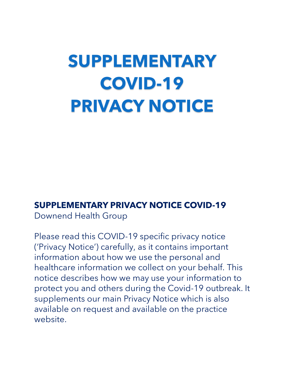# **SUPPLEMENTARY COVID-19 PRIVACY NOTICE**

### **SUPPLEMENTARY PRIVACY NOTICE COVID-19**

Downend Health Group

Please read this COVID-19 specific privacy notice ('Privacy Notice') carefully, as it contains important information about how we use the personal and healthcare information we collect on your behalf. This notice describes how we may use your information to protect you and others during the Covid-19 outbreak. It supplements our main Privacy Notice which is also available on request and available on the practice website.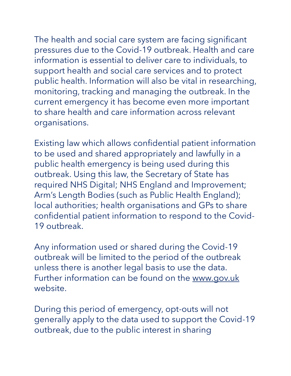The health and social care system are facing significant pressures due to the Covid-19 outbreak. Health and care information is essential to deliver care to individuals, to support health and social care services and to protect public health. Information will also be vital in researching, monitoring, tracking and managing the outbreak. In the current emergency it has become even more important to share health and care information across relevant organisations.

Existing law which allows confidential patient information to be used and shared appropriately and lawfully in a public health emergency is being used during this outbreak. Using this law, the Secretary of State has required NHS Digital; NHS England and Improvement; Arm's Length Bodies (such as Public Health England); local authorities; health organisations and GPs to share confidential patient information to respond to the Covid-19 outbreak.

Any information used or shared during the Covid-19 outbreak will be limited to the period of the outbreak unless there is another legal basis to use the data. Further information can be found on the www.gov.uk website.

During this period of emergency, opt-outs will not generally apply to the data used to support the Covid-19 outbreak, due to the public interest in sharing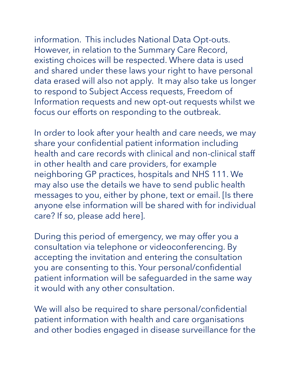information. This includes National Data Opt-outs. However, in relation to the Summary Care Record, existing choices will be respected. Where data is used and shared under these laws your right to have personal data erased will also not apply. It may also take us longer to respond to Subject Access requests, Freedom of Information requests and new opt-out requests whilst we focus our efforts on responding to the outbreak.

In order to look after your health and care needs, we may share your confidential patient information including health and care records with clinical and non-clinical staff in other health and care providers, for example neighboring GP practices, hospitals and NHS 111. We may also use the details we have to send public health messages to you, either by phone, text or email. [Is there anyone else information will be shared with for individual care? If so, please add here].

During this period of emergency, we may offer you a consultation via telephone or videoconferencing. By accepting the invitation and entering the consultation you are consenting to this. Your personal/confidential patient information will be safeguarded in the same way it would with any other consultation.

We will also be required to share personal/confidential patient information with health and care organisations and other bodies engaged in disease surveillance for the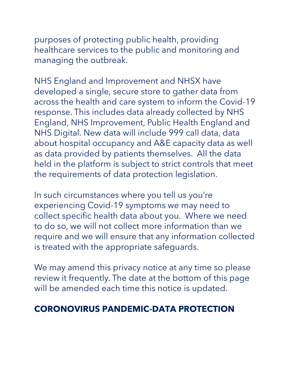purposes of protecting public health, providing healthcare services to the public and monitoring and managing the outbreak.

NHS England and Improvement and NHSX have developed a single, secure store to gather data from across the health and care system to inform the Covid-19 response. This includes data already collected by NHS England, NHS Improvement, Public Health England and NHS Digital. New data will include 999 call data, data about hospital occupancy and A&E capacity data as well as data provided by patients themselves. All the data held in the platform is subject to strict controls that meet the requirements of data protection legislation.

In such circumstances where you tell us you're experiencing Covid-19 symptoms we may need to collect specific health data about you. Where we need to do so, we will not collect more information than we require and we will ensure that any information collected is treated with the appropriate safeguards.

We may amend this privacy notice at any time so please review it frequently. The date at the bottom of this page will be amended each time this notice is updated.

### **CORONOVIRUS PANDEMIC-DATA PROTECTION**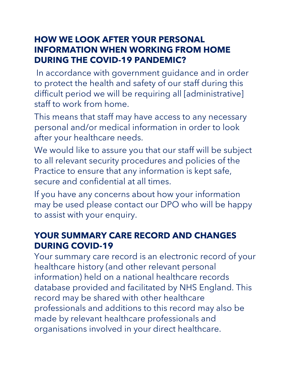### **HOW WE LOOK AFTER YOUR PERSONAL INFORMATION WHEN WORKING FROM HOME DURING THE COVID-19 PANDEMIC?**

In accordance with government guidance and in order to protect the health and safety of our staff during this difficult period we will be requiring all [administrative] staff to work from home.

This means that staff may have access to any necessary personal and/or medical information in order to look after your healthcare needs.

We would like to assure you that our staff will be subject to all relevant security procedures and policies of the Practice to ensure that any information is kept safe, secure and confidential at all times.

If you have any concerns about how your information may be used please contact our DPO who will be happy to assist with your enquiry.

### **YOUR SUMMARY CARE RECORD AND CHANGES DURING COVID-19**

Your summary care record is an electronic record of your healthcare history (and other relevant personal information) held on a national healthcare records database provided and facilitated by NHS England. This record may be shared with other healthcare professionals and additions to this record may also be made by relevant healthcare professionals and organisations involved in your direct healthcare.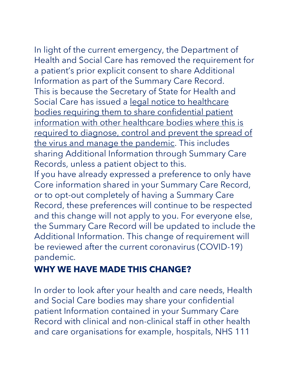In light of the current emergency, the Department of Health and Social Care has removed the requirement for a patient's prior explicit consent to share Additional Information as part of the Summary Care Record. This is because the Secretary of State for Health and Social Care has issued a legal notice to healthcare [bodies requiring them to share confidential patient](https://www.nhsx.nhs.uk/media/documents/Final_General_COPI_Notice.pdf)  [information with other healthcare bodies where this is](https://www.nhsx.nhs.uk/media/documents/Final_General_COPI_Notice.pdf)  [required to diagnose, control and prevent the spread of](https://www.nhsx.nhs.uk/media/documents/Final_General_COPI_Notice.pdf)  [the virus and manage the pandemic.](https://www.nhsx.nhs.uk/media/documents/Final_General_COPI_Notice.pdf) This includes sharing Additional Information through Summary Care Records, unless a patient object to this.

If you have already expressed a preference to only have Core information shared in your Summary Care Record, or to opt-out completely of having a Summary Care Record, these preferences will continue to be respected and this change will not apply to you. For everyone else, the Summary Care Record will be updated to include the Additional Information. This change of requirement will be reviewed after the current coronavirus (COVID-19) pandemic.

## **WHY WE HAVE MADE THIS CHANGE?**

In order to look after your health and care needs, Health and Social Care bodies may share your confidential patient Information contained in your Summary Care Record with clinical and non-clinical staff in other health and care organisations for example, hospitals, NHS 111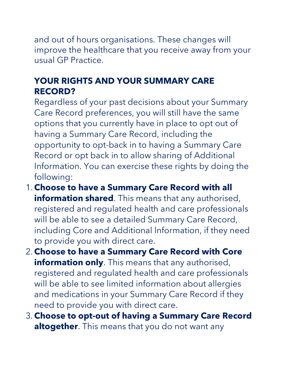and out of hours organisations. These changes will improve the healthcare that you receive away from your usual GP Practice.

### **YOUR RIGHTS AND YOUR SUMMARY CARE RECORD?**

Regardless of your past decisions about your Summary Care Record preferences, you will still have the same options that you currently have in place to opt out of having a Summary Care Record, including the opportunity to opt-back in to having a Summary Care Record or opt back in to allow sharing of Additional Information. You can exercise these rights by doing the following:

- 1.**Choose to have a Summary Care Record with all information shared**. This means that any authorised, registered and regulated health and care professionals will be able to see a detailed Summary Care Record, including Core and Additional Information, if they need to provide you with direct care.
- 2.**Choose to have a Summary Care Record with Core information only**. This means that any authorised, registered and regulated health and care professionals will be able to see limited information about allergies and medications in your Summary Care Record if they need to provide you with direct care.
- 3.**Choose to opt-out of having a Summary Care Record altogether**. This means that you do not want any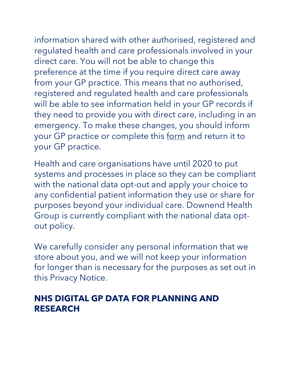information shared with other authorised, registered and regulated health and care professionals involved in your direct care. You will not be able to change this preference at the time if you require direct care away from your GP practice. This means that no authorised, registered and regulated health and care professionals will be able to see information held in your GP records if they need to provide you with direct care, including in an emergency. To make these changes, you should inform your GP practice or complete this [form](https://digital.nhs.uk/services/summary-care-records-scr/scr-patient-consent-preference-form) and return it to your GP practice.

Health and care organisations have until 2020 to put systems and processes in place so they can be compliant with the national data opt-out and apply your choice to any confidential patient information they use or share for purposes beyond your individual care. Downend Health Group is currently compliant with the national data optout policy.

We carefully consider any personal information that we store about you, and we will not keep your information for longer than is necessary for the purposes as set out in this Privacy Notice.

### **NHS DIGITAL GP DATA FOR PLANNING AND RESEARCH**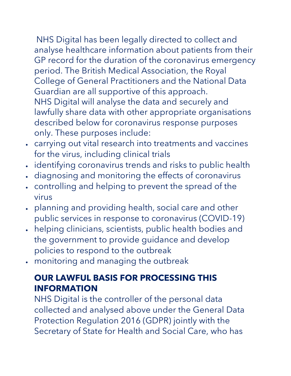NHS Digital has been legally directed to collect and analyse healthcare information about patients from their GP record for the duration of the coronavirus emergency period. The British Medical Association, the Royal College of General Practitioners and the National Data Guardian are all supportive of this approach. NHS Digital will analyse the data and securely and lawfully share data with other appropriate organisations described below for coronavirus response purposes only. These purposes include:

- carrying out vital research into treatments and vaccines for the virus, including clinical trials
- identifying coronavirus trends and risks to public health
- diagnosing and monitoring the effects of coronavirus
- controlling and helping to prevent the spread of the virus
- planning and providing health, social care and other public services in response to coronavirus (COVID-19)
- helping clinicians, scientists, public health bodies and the government to provide guidance and develop policies to respond to the outbreak
- monitoring and managing the outbreak

### **OUR LAWFUL BASIS FOR PROCESSING THIS INFORMATION**

NHS Digital is the controller of the personal data collected and analysed above under the General Data Protection Regulation 2016 (GDPR) jointly with the Secretary of State for Health and Social Care, who has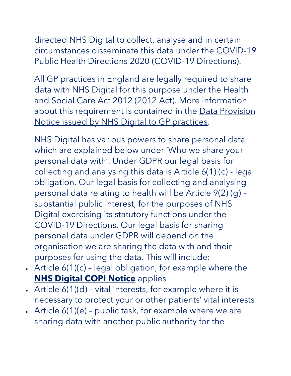directed NHS Digital to collect, analyse and in certain circumstances disseminate this data under the [COVID-19](https://digital.nhs.uk/about-nhs-digital/corporate-information-and-documents/directions-and-data-provision-notices/secretary-of-state-directions/covid-19-public-health-directions-2020)  [Public Health Directions 2020](https://digital.nhs.uk/about-nhs-digital/corporate-information-and-documents/directions-and-data-provision-notices/secretary-of-state-directions/covid-19-public-health-directions-2020) (COVID-19 Directions).

All GP practices in England are legally required to share data with NHS Digital for this purpose under the Health and Social Care Act 2012 (2012 Act). More information about this requirement is contained in the Data Provision [Notice issued by NHS Digital to GP practices.](https://digital.nhs.uk/about-nhs-digital/corporate-information-and-documents/directions-and-data-provision-notices/data-provision-notices-dpns/gpes-data-for-pandemic-planning-and-research)

NHS Digital has various powers to share personal data which are explained below under 'Who we share your personal data with'. Under GDPR our legal basis for collecting and analysing this data is Article 6(1) (c) - legal obligation. Our legal basis for collecting and analysing personal data relating to health will be Article 9(2) (g) – substantial public interest, for the purposes of NHS Digital exercising its statutory functions under the COVID-19 Directions. Our legal basis for sharing personal data under GDPR will depend on the organisation we are sharing the data with and their purposes for using the data. This will include:

- Article  $6(1)(c)$  legal obligation, for example where the **[NHS Digital COPI Notice](https://digital.nhs.uk/coronavirus/coronavirus-covid-19-response-information-governance-hub/control-of-patient-information-copi-notice) applies**
- Article 6(1)(d) vital interests, for example where it is necessary to protect your or other patients' vital interests
- Article  $6(1)(e)$  public task, for example where we are sharing data with another public authority for the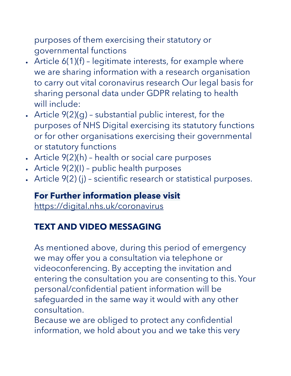purposes of them exercising their statutory or governmental functions

- Article 6(1)(f) legitimate interests, for example where we are sharing information with a research organisation to carry out vital coronavirus research Our legal basis for sharing personal data under GDPR relating to health will include:
- Article 9(2)(g) substantial public interest, for the purposes of NHS Digital exercising its statutory functions or for other organisations exercising their governmental or statutory functions
- Article 9(2)(h) health or social care purposes
- Article 9(2)(I) public health purposes
- Article 9(2) (j) scientific research or statistical purposes.

# **For Further information please visit**

<https://digital.nhs.uk/coronavirus>

### **TEXT AND VIDEO MESSAGING**

As mentioned above, during this period of emergency we may offer you a consultation via telephone or videoconferencing. By accepting the invitation and entering the consultation you are consenting to this. Your personal/confidential patient information will be safeguarded in the same way it would with any other consultation.

Because we are obliged to protect any confidential information, we hold about you and we take this very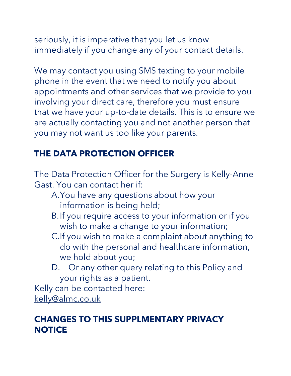seriously, it is imperative that you let us know immediately if you change any of your contact details.

We may contact you using SMS texting to your mobile phone in the event that we need to notify you about appointments and other services that we provide to you involving your direct care, therefore you must ensure that we have your up-to-date details. This is to ensure we are actually contacting you and not another person that you may not want us too like your parents.

### **THE DATA PROTECTION OFFICER**

The Data Protection Officer for the Surgery is Kelly-Anne Gast. You can contact her if:

- A.You have any questions about how your information is being held;
- B.If you require access to your information or if you wish to make a change to your information;
- C.If you wish to make a complaint about anything to do with the personal and healthcare information, we hold about you;
- D. Or any other query relating to this Policy and your rights as a patient.

Kelly can be contacted here: [kelly@almc.co.uk](mailto:kelly@almc.co.uk)

### **CHANGES TO THIS SUPPLMENTARY PRIVACY NOTICE**